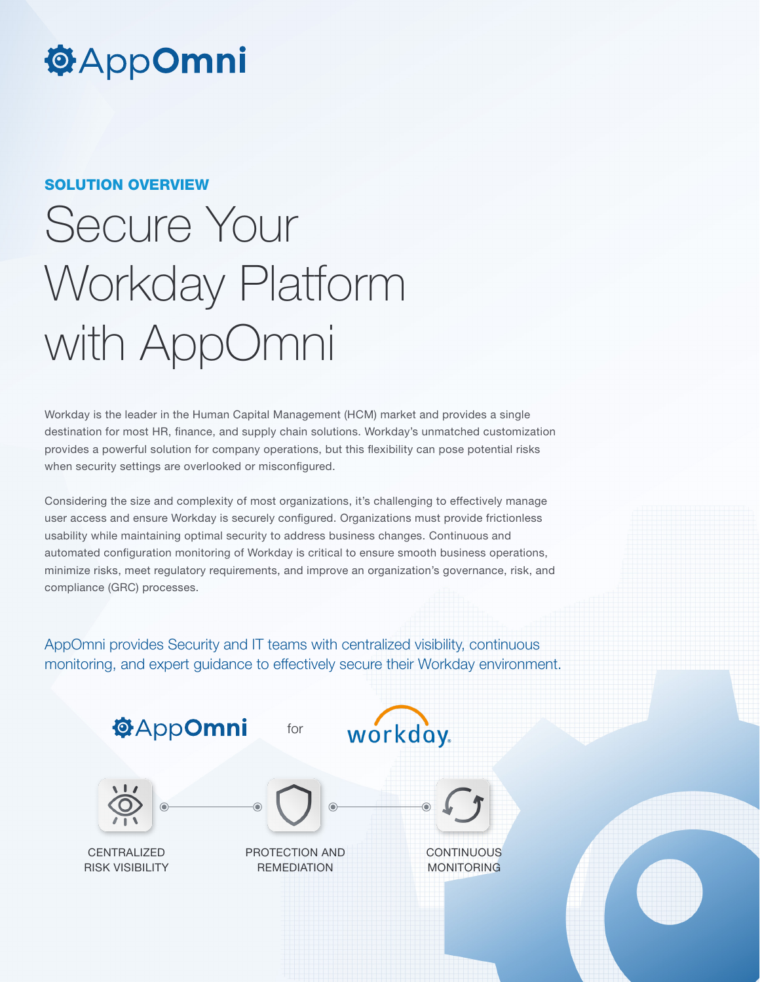## **@AppOmni**

### SOLUTION OVERVIEW

# Secure Your Workday Platform with AppOmni

Workday is the leader in the Human Capital Management (HCM) market and provides a single destination for most HR, finance, and supply chain solutions. Workday's unmatched customization provides a powerful solution for company operations, but this flexibility can pose potential risks when security settings are overlooked or misconfigured.

Considering the size and complexity of most organizations, it's challenging to effectively manage user access and ensure Workday is securely configured. Organizations must provide frictionless usability while maintaining optimal security to address business changes. Continuous and automated configuration monitoring of Workday is critical to ensure smooth business operations, minimize risks, meet regulatory requirements, and improve an organization's governance, risk, and compliance (GRC) processes.

AppOmni provides Security and IT teams with centralized visibility, continuous monitoring, and expert guidance to effectively secure their Workday environment.